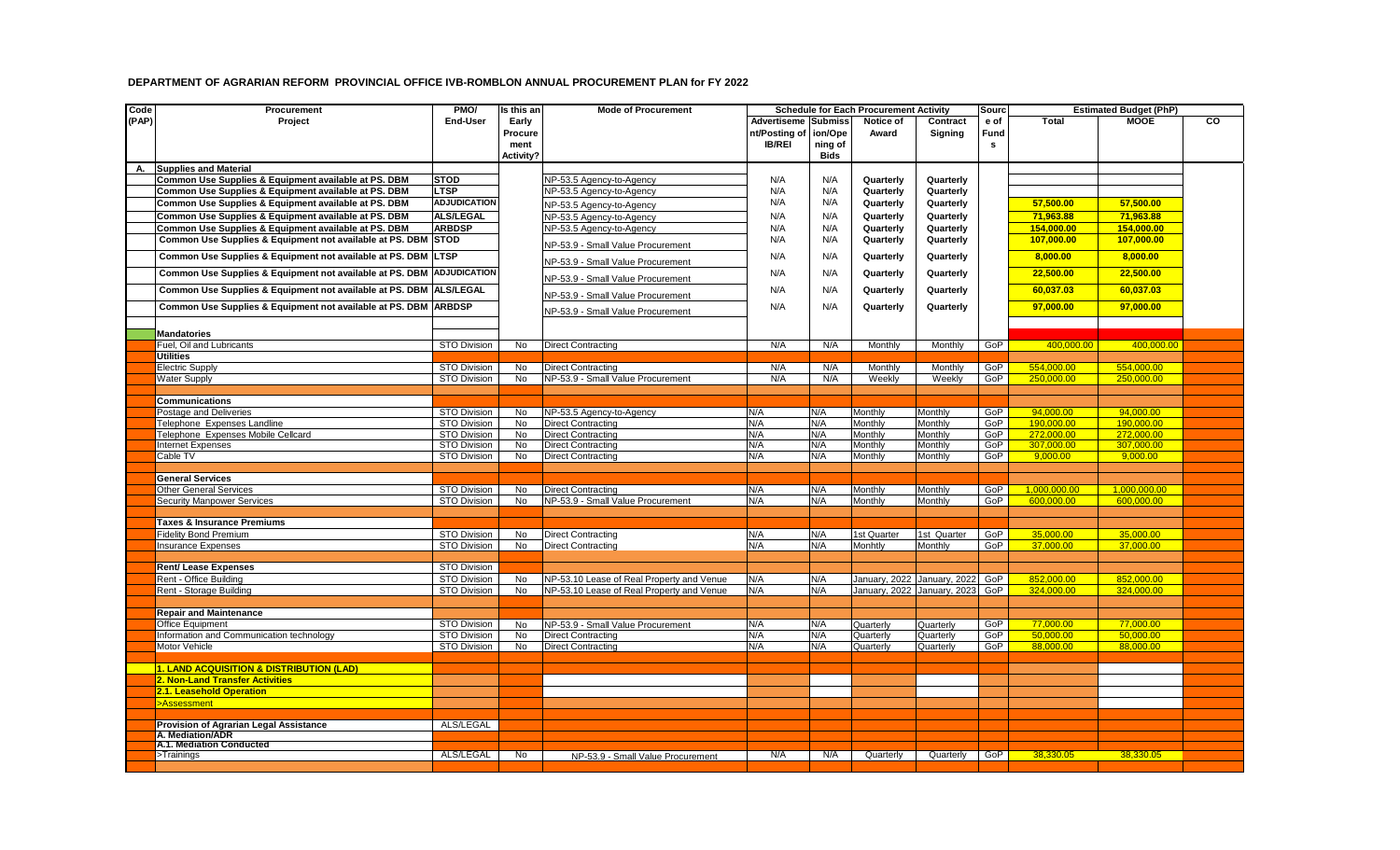## **DEPARTMENT OF AGRARIAN REFORM PROVINCIAL OFFICE IVB-ROMBLON ANNUAL PROCUREMENT PLAN for FY 2022**

| Code  | Procurement                                                           | PMO/                                | Is this an             | <b>Mode of Procurement</b>                            |                            |             | <b>Schedule for Each Procurement Activity</b> |                    | Sourc      |                         | <b>Estimated Budget (PhP)</b> |    |
|-------|-----------------------------------------------------------------------|-------------------------------------|------------------------|-------------------------------------------------------|----------------------------|-------------|-----------------------------------------------|--------------------|------------|-------------------------|-------------------------------|----|
| (PAP) | Project                                                               | <b>End-User</b>                     | Early                  |                                                       | <b>Advertiseme Submiss</b> |             | Notice of                                     | Contract           | e of       | <b>Total</b>            | <b>MOOE</b>                   | CO |
|       |                                                                       |                                     | Procure                |                                                       | nt/Posting of ion/Ope      |             | Award                                         | Signing            | Fund       |                         |                               |    |
|       |                                                                       |                                     | ment                   |                                                       | <b>IB/REI</b>              | ning of     |                                               |                    | s          |                         |                               |    |
|       |                                                                       |                                     | Activity?              |                                                       |                            | <b>Bids</b> |                                               |                    |            |                         |                               |    |
|       | A. Supplies and Material                                              |                                     |                        |                                                       |                            |             |                                               |                    |            |                         |                               |    |
|       | Common Use Supplies & Equipment available at PS. DBM                  | <b>STOD</b>                         |                        | NP-53.5 Agency-to-Agency                              | N/A                        | N/A         | Quarterly                                     | Quarterly          |            |                         |                               |    |
|       | Common Use Supplies & Equipment available at PS. DBM                  | <b>LTSP</b>                         |                        | NP-53.5 Agency-to-Agency                              | N/A                        | N/A         | Quarterly                                     | Quarterly          |            |                         |                               |    |
|       | Common Use Supplies & Equipment available at PS. DBM                  | <b>ADJUDICATION</b>                 |                        | NP-53.5 Agency-to-Agency                              | N/A                        | N/A         | Quarterly                                     | Quarterly          |            | 57,500.00               | 57.500.00                     |    |
|       | Common Use Supplies & Equipment available at PS. DBM                  | <b>ALS/LEGAL</b>                    |                        | NP-53.5 Agency-to-Agency                              | N/A                        | N/A         | Quarterly                                     | Quarterly          |            | 71.963.88               | 71.963.88                     |    |
|       | Common Use Supplies & Equipment available at PS. DBM                  | <b>ARBDSP</b>                       |                        | NP-53.5 Agency-to-Agency                              | N/A                        | N/A         | Quarterly                                     | Quarterly          |            | 154,000.00              | 154,000.00                    |    |
|       | Common Use Supplies & Equipment not available at PS. DBM STOD         |                                     |                        |                                                       | N/A                        | N/A         | Quarterly                                     | Quarterly          |            | 107,000.00              | 107,000.00                    |    |
|       | Common Use Supplies & Equipment not available at PS. DBM LTSP         |                                     |                        | NP-53.9 - Small Value Procurement                     | N/A                        | N/A         | Quarterly                                     | Quarterly          |            | 8,000.00                | 8,000.00                      |    |
|       |                                                                       |                                     |                        | NP-53.9 - Small Value Procurement                     |                            |             |                                               |                    |            |                         |                               |    |
|       | Common Use Supplies & Equipment not available at PS. DBM ADJUDICATION |                                     |                        | NP-53.9 - Small Value Procurement                     | N/A                        | N/A         | Quarterly                                     | Quarterly          |            | 22,500.00               | 22,500.00                     |    |
|       | Common Use Supplies & Equipment not available at PS. DBM              | <b>ALS/LEGAL</b>                    |                        | NP-53.9 - Small Value Procurement                     | N/A                        | N/A         | Quarterly                                     | Quarterly          |            | 60,037.03               | 60,037.03                     |    |
|       | Common Use Supplies & Equipment not available at PS. DBM ARBDSP       |                                     |                        | NP-53.9 - Small Value Procurement                     | N/A                        | N/A         | Quarterly                                     | Quarterly          |            | 97,000.00               | 97,000.00                     |    |
|       |                                                                       |                                     |                        |                                                       |                            |             |                                               |                    |            |                         |                               |    |
|       | <b>Mandatories</b>                                                    |                                     |                        |                                                       |                            |             |                                               |                    |            |                         |                               |    |
|       | Fuel, Oil and Lubricants                                              | <b>STO Division</b>                 | No                     | <b>Direct Contracting</b>                             | N/A                        | N/A         | Monthly                                       | Monthly            | GoP        | 400.000.00              | 400.000.00                    |    |
|       | <b>Utilities</b>                                                      |                                     |                        |                                                       |                            |             |                                               |                    |            |                         |                               |    |
|       | <b>Electric Supply</b>                                                | STO Division                        | No                     | <b>Direct Contracting</b>                             | N/A                        | N/A         | Monthly                                       | Monthly            | GoP        | 554.000.00              | 554.000.00                    |    |
|       | <b>Water Supply</b>                                                   | STO Division                        | <b>No</b>              | NP-53.9 - Small Value Procurement                     | N/A                        | N/A         | Weekly                                        | Weekly             | GoP        | 250.000.00              | 250.000.00                    |    |
|       |                                                                       |                                     |                        |                                                       |                            |             |                                               |                    |            |                         |                               |    |
|       | <b>Communications</b>                                                 |                                     |                        |                                                       |                            |             |                                               |                    |            |                         |                               |    |
|       | Postage and Deliveries<br>Telephone Expenses Landline                 | <b>STO Division</b><br>STO Division | <b>No</b><br><b>No</b> | NP-53.5 Agency-to-Agency<br><b>Direct Contracting</b> | N/A<br>N/A                 | N/A<br>N/A  | Monthly                                       | Monthly<br>Monthly | GoP<br>GoP | 94,000.00<br>190.000.00 | 94.000.00<br>190.000.00       |    |
|       | Telephone Expenses Mobile Cellcard                                    | <b>STO Division</b>                 | <b>No</b>              | <b>Direct Contracting</b>                             | N/A                        | N/A         | Monthly<br>Monthly                            | Monthly            | GoP        | 272.000.00              | 272.000.00                    |    |
|       | <b>Internet Expenses</b>                                              | STO Division                        | No                     | <b>Direct Contracting</b>                             | N/A                        | N/A         | Monthly                                       | Monthly            | GoP        | 307.000.00              | 307.000.00                    |    |
|       | Cable TV                                                              | STO Division                        | <b>No</b>              | <b>Direct Contracting</b>                             | N/A                        | N/A         | Monthly                                       | Monthly            | GoP        | 9,000.00                | 9,000.00                      |    |
|       |                                                                       |                                     |                        |                                                       |                            |             |                                               |                    |            |                         |                               |    |
|       | <b>General Services</b>                                               |                                     |                        |                                                       |                            |             |                                               |                    |            |                         |                               |    |
|       | <b>Other General Services</b>                                         | STO Division                        | No                     | <b>Direct Contracting</b>                             | N/A                        | N/A         | Monthly                                       | Monthly            | GoP        | 1,000,000.00            | 1,000,000.00                  |    |
|       | <b>Security Manpower Services</b>                                     | STO Division                        | <b>No</b>              | NP-53.9 - Small Value Procurement                     | N/A                        | N/A         | Monthly                                       | Monthly            | GoP        | 600,000.00              | 600.000.00                    |    |
|       |                                                                       |                                     |                        |                                                       |                            |             |                                               |                    |            |                         |                               |    |
|       | Taxes & Insurance Premiums                                            |                                     |                        |                                                       |                            |             |                                               |                    |            |                         |                               |    |
|       | <b>Fidelity Bond Premium</b>                                          | STO Division                        | <b>No</b>              | <b>Direct Contracting</b>                             | N/A                        | N/A         | 1st Quarter                                   | 1st Quarter        | GoP        | 35,000.00               | 35.000.00                     |    |
|       | <b>Insurance Expenses</b>                                             | STO Division                        | No                     | <b>Direct Contracting</b>                             | N/A                        | N/A         | Monhtly                                       | Monthly            | GoP        | 37,000.00               | 37,000.00                     |    |
|       | <b>Rent/ Lease Expenses</b>                                           | STO Division                        |                        |                                                       |                            |             |                                               |                    |            |                         |                               |    |
|       | Rent - Office Building                                                | STO Division                        | <b>No</b>              | NP-53.10 Lease of Real Property and Venue             | N/A                        | N/A         | January, 2022 January, 2022                   |                    | GoP        | 852,000.00              | 852,000.00                    |    |
|       | Rent - Storage Building                                               | STO Division                        | <b>No</b>              | NP-53.10 Lease of Real Property and Venue             | N/A                        | N/A         | January, 2022 January, 2023                   |                    | GoP        | 324,000.00              | 324,000.00                    |    |
|       |                                                                       |                                     |                        |                                                       |                            |             |                                               |                    |            |                         |                               |    |
|       | <b>Repair and Maintenance</b>                                         |                                     |                        |                                                       |                            |             |                                               |                    |            |                         |                               |    |
|       | <b>Office Equipment</b>                                               | STO Division                        | <b>No</b>              | NP-53.9 - Small Value Procurement                     | N/A                        | N/A         | Quarterly                                     | Quarterly          | GoP        | 77,000.00               | 77.000.00                     |    |
|       | Information and Communication technology                              | <b>STO Division</b>                 | No                     | <b>Direct Contracting</b>                             | N/A                        | N/A         | Quarterly                                     | Quarterly          | GoP        | 50,000.00               | 50,000.00                     |    |
|       | Motor Vehicle                                                         | STO Division                        | No                     | <b>Direct Contracting</b>                             | N/A                        | N/A         | Quarterly                                     | Quarterly          | GoP        | 88,000.00               | 88,000.00                     |    |
|       | <b>LEAND ACQUISITION &amp; DISTRIBUTION (LAD)</b>                     |                                     |                        |                                                       |                            |             |                                               |                    |            |                         |                               |    |
|       | 2. Non-Land Transfer Activities                                       |                                     |                        |                                                       |                            |             |                                               |                    |            |                         |                               |    |
|       | 2.1. Leasehold Operation                                              |                                     |                        |                                                       |                            |             |                                               |                    |            |                         |                               |    |
|       | >Assessment                                                           |                                     |                        |                                                       |                            |             |                                               |                    |            |                         |                               |    |
|       |                                                                       |                                     |                        |                                                       |                            |             |                                               |                    |            |                         |                               |    |
|       | Provision of Agrarian Legal Assistance                                | ALS/LEGAL                           |                        |                                                       |                            |             |                                               |                    |            |                         |                               |    |
|       | A. Mediation/ADR                                                      |                                     |                        |                                                       |                            |             |                                               |                    |            |                         |                               |    |
|       | A.1. Mediation Conducted                                              |                                     |                        |                                                       |                            |             |                                               |                    |            |                         |                               |    |
|       | >Trainings                                                            | ALS/LEGAL                           | No                     | NP-53.9 - Small Value Procurement                     | N/A                        | N/A         | Quarterly                                     | Quarterly          | GoP        | 38.330.05               | 38.330.05                     |    |
|       |                                                                       |                                     |                        |                                                       |                            |             |                                               |                    |            |                         |                               |    |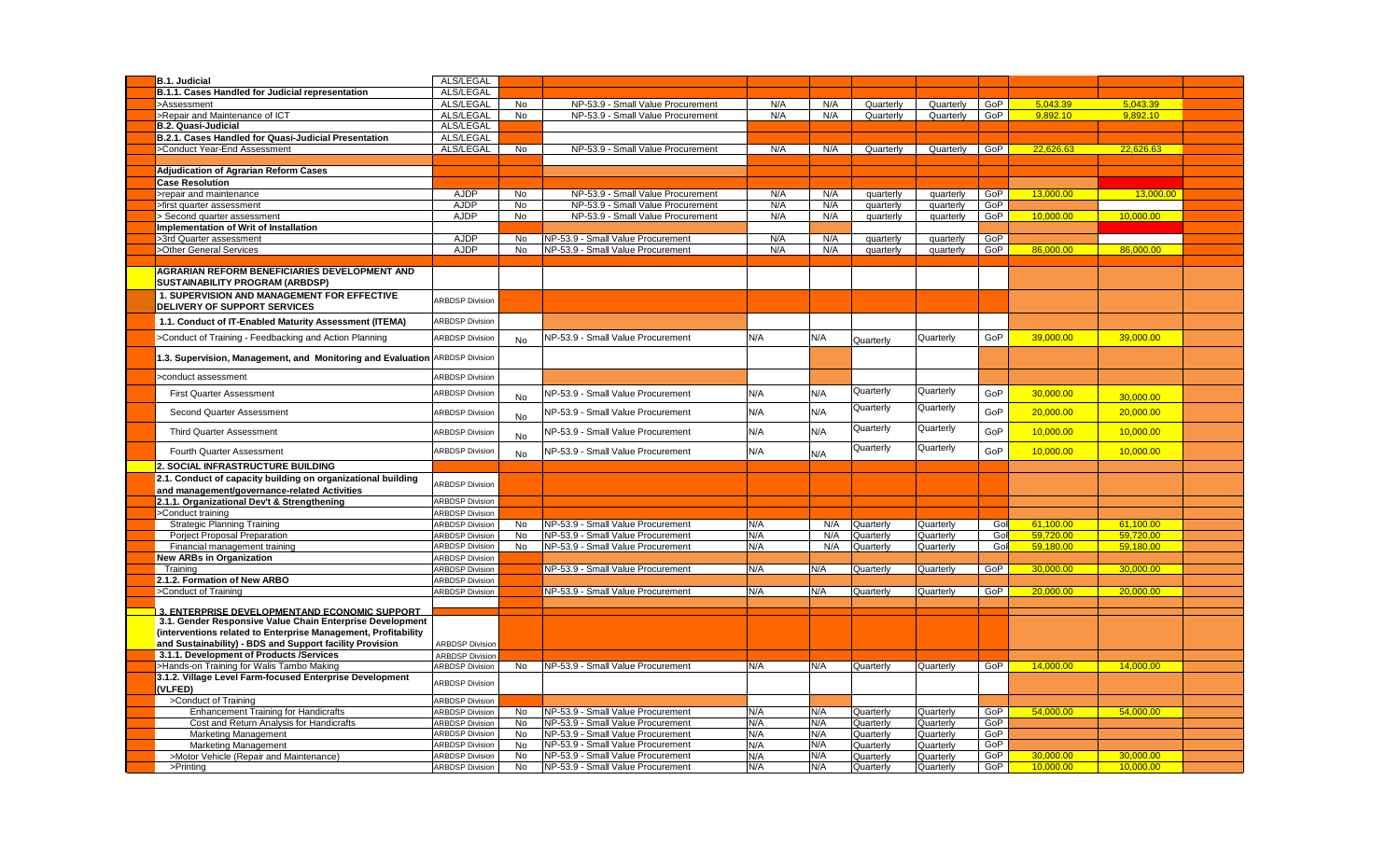| <b>B.1. Judicial</b>                                                                                                       | ALS/LEGAL                                        |           |                                                                        |            |            |                        |                        |            |                        |                        |  |
|----------------------------------------------------------------------------------------------------------------------------|--------------------------------------------------|-----------|------------------------------------------------------------------------|------------|------------|------------------------|------------------------|------------|------------------------|------------------------|--|
| B.1.1. Cases Handled for Judicial representation                                                                           | ALS/LEGAL                                        |           |                                                                        |            |            |                        |                        |            |                        |                        |  |
| >Assessment                                                                                                                | ALS/LEGAL                                        | No        | NP-53.9 - Small Value Procurement                                      | N/A        | N/A        | Quarterly              | Quarterly              | GoP        | 5.043.39               | 5,043.39               |  |
| >Repair and Maintenance of ICT                                                                                             | ALS/LEGAL                                        | <b>No</b> | NP-53.9 - Small Value Procurement                                      | N/A        | N/A        | Quarterly              | Quarterly              | GoP        | 9.892.10               | 9.892.10               |  |
| <b>B.2. Quasi-Judicial</b>                                                                                                 | ALS/LEGAL                                        |           |                                                                        |            |            |                        |                        |            |                        |                        |  |
| B.2.1. Cases Handled for Quasi-Judicial Presentation                                                                       | ALS/LEGAL                                        |           |                                                                        |            |            |                        |                        |            |                        |                        |  |
| >Conduct Year-End Assessment                                                                                               | ALS/LEGAL                                        | No        | NP-53.9 - Small Value Procurement                                      | N/A        | N/A        | Quarterly              | Quarterly              | GoP        | 22,626.63              | 22,626.63              |  |
|                                                                                                                            |                                                  |           |                                                                        |            |            |                        |                        |            |                        |                        |  |
| <b>Adjudication of Agrarian Reform Cases</b>                                                                               |                                                  |           |                                                                        |            |            |                        |                        |            |                        |                        |  |
| <b>Case Resolution</b>                                                                                                     |                                                  |           |                                                                        |            |            |                        |                        |            |                        |                        |  |
| -repair and maintenance                                                                                                    | <b>AJDP</b>                                      | No        | NP-53.9 - Small Value Procurement                                      | N/A        | N/A        | quarterly              | quarterly              | GoP        | 13.000.00              | 13,000.00              |  |
| first quarter assessment<br>Second quarter assessment                                                                      | <b>AJDP</b><br><b>AJDP</b>                       | No<br>No  | NP-53.9 - Small Value Procurement<br>NP-53.9 - Small Value Procurement | N/A<br>N/A | N/A<br>N/A | quarterly              | quarterly              | GoP<br>GoP | 10,000.00              | 10.000.00              |  |
| Implementation of Writ of Installation                                                                                     |                                                  |           |                                                                        |            |            | quarterly              | quarterly              |            |                        |                        |  |
| >3rd Quarter assessment                                                                                                    | AJDP                                             | No        | NP-53.9 - Small Value Procurement                                      | N/A        | N/A        | quarterly              | quarterly              | GoP        |                        |                        |  |
| >Other General Services                                                                                                    | <b>AJDP</b>                                      | <b>No</b> | NP-53.9 - Small Value Procurement                                      | N/A        | N/A        | quarterly              | quarterly              | GoP        | 86,000.00              | 86,000.00              |  |
|                                                                                                                            |                                                  |           |                                                                        |            |            |                        |                        |            |                        |                        |  |
| <b>AGRARIAN REFORM BENEFICIARIES DEVELOPMENT AND</b><br>SUSTAINABILITY PROGRAM (ARBDSP)                                    |                                                  |           |                                                                        |            |            |                        |                        |            |                        |                        |  |
| 1. SUPERVISION AND MANAGEMENT FOR EFFECTIVE<br>DELIVERY OF SUPPORT SERVICES                                                | <b>ARBDSP Division</b>                           |           |                                                                        |            |            |                        |                        |            |                        |                        |  |
| 1.1. Conduct of IT-Enabled Maturity Assessment (ITEMA)                                                                     | <b>ARBDSP Division</b>                           |           |                                                                        |            |            |                        |                        |            |                        |                        |  |
| >Conduct of Training - Feedbacking and Action Planning                                                                     | <b>ARBDSP Division</b>                           | <b>No</b> | NP-53.9 - Small Value Procurement                                      | N/A        | N/A        | Quarterly              | Quarterly              | GoP        | 39,000.00              | 39,000.00              |  |
| 1.3. Supervision, Management, and Monitoring and Evaluation ARBDSP Division                                                |                                                  |           |                                                                        |            |            |                        |                        |            |                        |                        |  |
| >conduct assessment                                                                                                        | <b>ARBDSP Division</b>                           |           |                                                                        |            |            |                        |                        |            |                        |                        |  |
| <b>First Quarter Assessment</b>                                                                                            | <b>ARBDSP Division</b>                           | <b>No</b> | NP-53.9 - Small Value Procurement                                      | N/A        | N/A        | Quarterly              | Quarterly              | GoP        | 30,000.00              | 30,000.00              |  |
| Second Quarter Assessment                                                                                                  | <b>ARBDSP Division</b>                           | No        | NP-53.9 - Small Value Procurement                                      | N/A        | N/A        | Quarterly              | Quarterly              | GoP        | 20,000.00              | 20,000.00              |  |
| <b>Third Quarter Assessment</b>                                                                                            | <b>ARBDSP Division</b>                           | <b>No</b> | NP-53.9 - Small Value Procurement                                      | N/A        | N/A        | Quarterly              | Quarterly              | GoP        | 10,000.00              | 10,000.00              |  |
| Fourth Quarter Assessment                                                                                                  | <b>ARBDSP Division</b>                           | No        | NP-53.9 - Small Value Procurement                                      | N/A        | N/A        | Quarterly              | Quarterly              | GoP        | 10,000.00              | 10,000.00              |  |
| 2. SOCIAL INFRASTRUCTURE BUILDING                                                                                          |                                                  |           |                                                                        |            |            |                        |                        |            |                        |                        |  |
| 2.1. Conduct of capacity building on organizational building                                                               | <b>ARBDSP Division</b>                           |           |                                                                        |            |            |                        |                        |            |                        |                        |  |
| and management/governance-related Activities                                                                               |                                                  |           |                                                                        |            |            |                        |                        |            |                        |                        |  |
| 2.1.1. Organizational Dev't & Strengthening                                                                                | <b>ARBDSP Division</b>                           |           |                                                                        |            |            |                        |                        |            |                        |                        |  |
| >Conduct training                                                                                                          | <b>ARBDSP Division</b>                           |           |                                                                        |            |            |                        |                        |            |                        |                        |  |
| <b>Strategic Planning Training</b>                                                                                         | <b>ARBDSP Division</b><br><b>ARBDSP Division</b> | No<br>No  | NP-53.9 - Small Value Procurement<br>NP-53.9 - Small Value Procurement | N/A<br>N/A | N/A<br>N/A | Quarterly              | Quarterly              | Gol<br>Gol | 61.100.00<br>59,720.00 | 61.100.00<br>59,720.00 |  |
| Porject Proposal Preparation<br>Financial management training                                                              | <b>ARBDSP Division</b>                           | No        | NP-53.9 - Small Value Procurement                                      | N/A        | N/A        | Quarterly<br>Quarterly | Quarterly<br>Quarterly | Gol        | 59,180.00              | 59,180.00              |  |
| <b>New ARBs in Organization</b>                                                                                            | <b>ARBDSP Division</b>                           |           |                                                                        |            |            |                        |                        |            |                        |                        |  |
| Training                                                                                                                   | <b>ARBDSP Division</b>                           |           | NP-53.9 - Small Value Procurement                                      | N/A        | N/A        | Quarterly              | Quarterly              | GoP        | 30,000.00              | 30,000.00              |  |
| 2.1.2. Formation of New ARBO                                                                                               | <b>ARBDSP Division</b>                           |           |                                                                        |            |            |                        |                        |            |                        |                        |  |
| >Conduct of Training                                                                                                       | <b>ARBDSP Division</b>                           |           | NP-53.9 - Small Value Procurement                                      | N/A        | N/A        | Quarterly              | Quarterly              | GoP        | 20,000.00              | 20,000.00              |  |
|                                                                                                                            |                                                  |           |                                                                        |            |            |                        |                        |            |                        |                        |  |
| 3. ENTERPRISE DEVELOPMENTAND ECONOMIC SUPPORT                                                                              |                                                  |           |                                                                        |            |            |                        |                        |            |                        |                        |  |
| 3.1. Gender Responsive Value Chain Enterprise Development                                                                  |                                                  |           |                                                                        |            |            |                        |                        |            |                        |                        |  |
| (interventions related to Enterprise Management, Profitability<br>and Sustainability) - BDS and Support facility Provision | <b>ARBDSP Division</b>                           |           |                                                                        |            |            |                        |                        |            |                        |                        |  |
| 3.1.1. Development of Products /Services                                                                                   | <b>ARBDSP Division</b>                           |           |                                                                        |            |            |                        |                        |            |                        |                        |  |
| >Hands-on Training for Walis Tambo Making                                                                                  | <b>ARBDSP Division</b>                           | No        | NP-53.9 - Small Value Procurement                                      | N/A        | N/A        | Quarterly              | Quarterly              | GoP        | 14,000.00              | 14,000.00              |  |
| 3.1.2. Village Level Farm-focused Enterprise Development                                                                   |                                                  |           |                                                                        |            |            |                        |                        |            |                        |                        |  |
| (VLFED)                                                                                                                    | <b>ARBDSP Division</b>                           |           |                                                                        |            |            |                        |                        |            |                        |                        |  |
| >Conduct of Training                                                                                                       | <b>ARBDSP Division</b>                           |           |                                                                        |            |            |                        |                        |            |                        |                        |  |
| <b>Enhancement Training for Handicrafts</b>                                                                                | <b>ARBDSP Division</b><br><b>ARBDSP Division</b> | No<br>No  | NP-53.9 - Small Value Procurement<br>NP-53.9 - Small Value Procurement | N/A<br>N/A | N/A<br>N/A | Quarterly<br>Quarterly | Quarterly<br>Quarterly | GoP<br>GoP | 54.000.00              | 54,000.00              |  |
| Cost and Return Analysis for Handicrafts<br><b>Marketing Management</b>                                                    | <b>ARBDSP Division</b>                           | No        | NP-53.9 - Small Value Procurement                                      | N/A        | N/A        | Quarterly              | Quarterly              | GoP        |                        |                        |  |
| <b>Marketing Management</b>                                                                                                | <b>ARBDSP Division</b>                           | No        | NP-53.9 - Small Value Procurement                                      | N/A        | N/A        | Quarterly              | Quarterly              | GoP        |                        |                        |  |
| >Motor Vehicle (Repair and Maintenance)                                                                                    | <b>ARBDSP Division</b>                           | No        | NP-53.9 - Small Value Procurement                                      | N/A        | N/A        | Quarterly              | Quarterly              | GoP        | 30.000.00              | 30.000.00              |  |
| >Printing                                                                                                                  | <b>ARBDSP Division</b>                           | <b>No</b> | NP-53.9 - Small Value Procurement                                      | N/A        | N/A        | Quarterly              | Quarterly              | GoP        | 10,000.00              | 10,000.00              |  |
|                                                                                                                            |                                                  |           |                                                                        |            |            |                        |                        |            |                        |                        |  |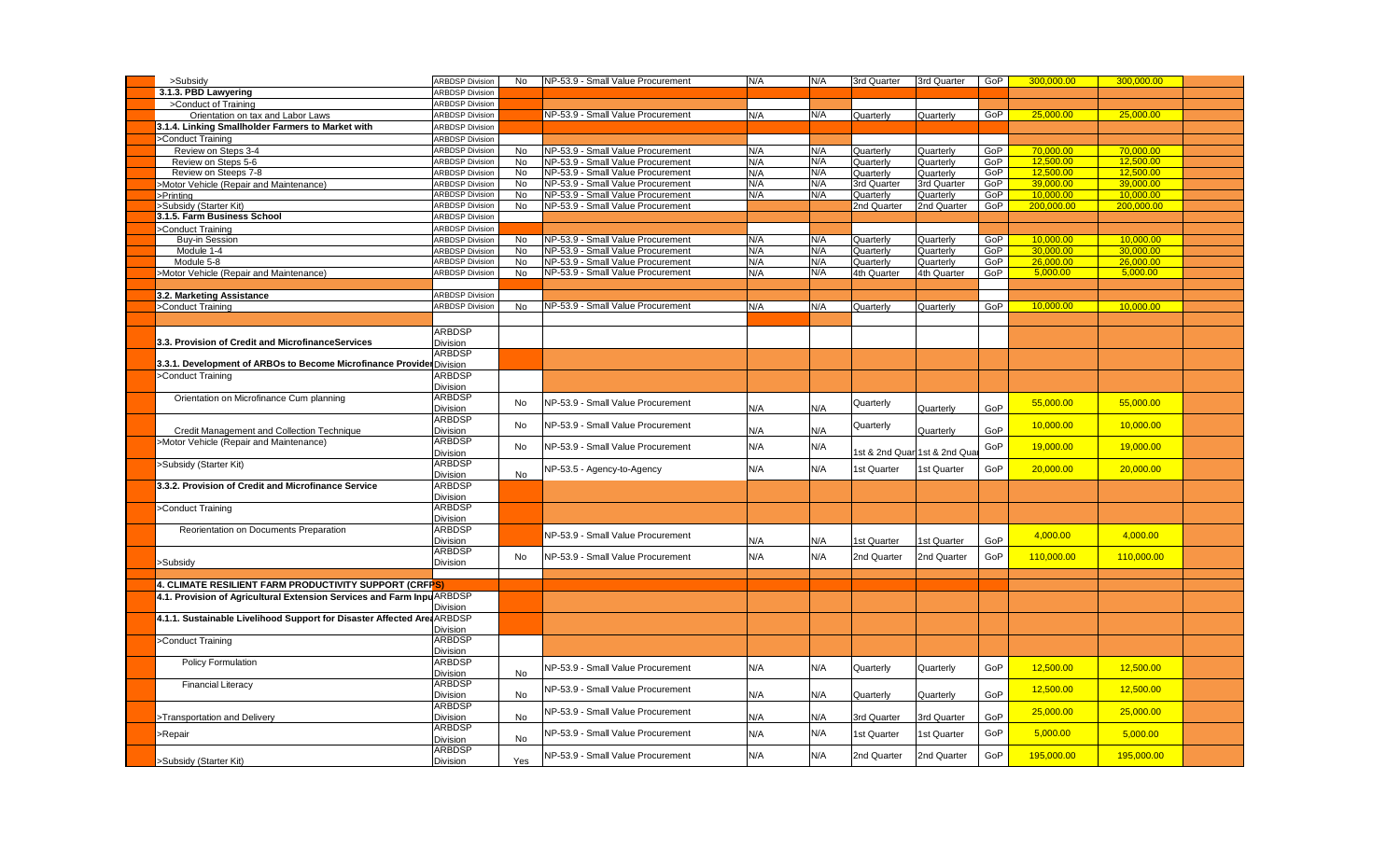| >Subsidy                                                                | <b>ARBDSP Division</b> | No        | NP-53.9 - Small Value Procurement | N/A | N/A | 3rd Quarter | 3rd Quarter                   | GoP | 300,000.00 | 300,000.00 |  |
|-------------------------------------------------------------------------|------------------------|-----------|-----------------------------------|-----|-----|-------------|-------------------------------|-----|------------|------------|--|
| 3.1.3. PBD Lawyering                                                    | <b>ARBDSP Division</b> |           |                                   |     |     |             |                               |     |            |            |  |
| >Conduct of Training                                                    | <b>ARBDSP Division</b> |           |                                   |     |     |             |                               |     |            |            |  |
| Orientation on tax and Labor Laws                                       | <b>ARBDSP Division</b> |           | NP-53.9 - Small Value Procurement | N/A | N/A | Quarterly   | Quarterly                     | GoP | 25,000.00  | 25,000.00  |  |
| 3.1.4. Linking Smallholder Farmers to Market with                       | <b>ARBDSP Division</b> |           |                                   |     |     |             |                               |     |            |            |  |
| >Conduct Training                                                       | <b>ARBDSP Division</b> |           |                                   |     |     |             |                               |     |            |            |  |
|                                                                         | <b>ARBDSP Division</b> | <b>No</b> |                                   |     |     |             |                               |     |            | 70,000.00  |  |
| Review on Steps 3-4                                                     |                        |           | NP-53.9 - Small Value Procurement | N/A | N/A | Quarterly   | Quarterly                     | GoP | 70,000.00  |            |  |
| Review on Steps 5-6                                                     | <b>ARBDSP Division</b> | <b>No</b> | NP-53.9 - Small Value Procurement | N/A | N/A | Quarterly   | Quarterly                     | GoP | 12,500.00  | 12,500.00  |  |
| Review on Steeps 7-8                                                    | <b>ARBDSP Division</b> | <b>No</b> | NP-53.9 - Small Value Procurement | N/A | N/A | Quarterly   | Quarterly                     | GoP | 12.500.00  | 12.500.00  |  |
| Motor Vehicle (Repair and Maintenance)                                  | <b>ARBDSP Division</b> | <b>No</b> | NP-53.9 - Small Value Procurement | N/A | N/A | 3rd Quarter | 3rd Quarter                   | GoP | 39.000.00  | 39.000.00  |  |
| Printing                                                                | <b>ARBDSP Division</b> | No        | NP-53.9 - Small Value Procurement | N/A | N/A | Quarterly   | Quarterly                     | GoP | 10,000.00  | 10,000.00  |  |
| Subsidy (Starter Kit)                                                   | <b>ARBDSP Division</b> | No        | NP-53.9 - Small Value Procurement |     |     | 2nd Quarter | 2nd Quarter                   | GoP | 200,000.00 | 200,000.00 |  |
| 3.1.5. Farm Business School                                             | <b>ARBDSP Division</b> |           |                                   |     |     |             |                               |     |            |            |  |
| Conduct Training                                                        | <b>ARBDSP Division</b> |           |                                   |     |     |             |                               |     |            |            |  |
| Buy-in Session                                                          | <b>ARBDSP Division</b> | No        | NP-53.9 - Small Value Procurement | N/A | N/A | Quarterly   | Quarterly                     | GoP | 10.000.00  | 10.000.00  |  |
| Module 1-4                                                              | <b>ARBDSP Division</b> | <b>No</b> | NP-53.9 - Small Value Procurement | N/A | N/A | Quarterly   | Quarterly                     | GoP | 30.000.00  | 30.000.00  |  |
| Module 5-8                                                              | <b>ARBDSP Division</b> | No        | NP-53.9 - Small Value Procurement | N/A | N/A | Quarterly   | Quarterly                     | GoP | 26,000.00  | 26,000.00  |  |
|                                                                         | <b>ARBDSP Division</b> |           | NP-53.9 - Small Value Procurement |     | N/A |             |                               |     | 5,000.00   | 5,000.00   |  |
| >Motor Vehicle (Repair and Maintenance)                                 |                        | No        |                                   | N/A |     | 4th Quarter | 4th Quarter                   | GoP |            |            |  |
|                                                                         |                        |           |                                   |     |     |             |                               |     |            |            |  |
| 3.2. Marketing Assistance                                               | <b>ARBDSP Division</b> |           |                                   |     |     |             |                               |     |            |            |  |
| >Conduct Training                                                       | <b>ARBDSP Division</b> | <b>No</b> | NP-53.9 - Small Value Procurement | N/A | N/A | Quarterly   | Quarterly                     | GoP | 10.000.00  | 10.000.00  |  |
|                                                                         |                        |           |                                   |     |     |             |                               |     |            |            |  |
|                                                                         | <b>ARBDSP</b>          |           |                                   |     |     |             |                               |     |            |            |  |
| 3.3. Provision of Credit and MicrofinanceServices                       | Division               |           |                                   |     |     |             |                               |     |            |            |  |
|                                                                         | <b>ARBDSP</b>          |           |                                   |     |     |             |                               |     |            |            |  |
|                                                                         |                        |           |                                   |     |     |             |                               |     |            |            |  |
| 3.3.1. Development of ARBOs to Become Microfinance Provider Division    |                        |           |                                   |     |     |             |                               |     |            |            |  |
| >Conduct Training                                                       | <b>ARBDSP</b>          |           |                                   |     |     |             |                               |     |            |            |  |
|                                                                         | Division               |           |                                   |     |     |             |                               |     |            |            |  |
| Orientation on Microfinance Cum planning                                | <b>ARBDSP</b>          | No        | NP-53.9 - Small Value Procurement |     |     | Quarterly   |                               |     | 55,000.00  | 55,000.00  |  |
|                                                                         | <b>Division</b>        |           |                                   | N/A | N/A |             | Quarterly                     | GoP |            |            |  |
|                                                                         | <b>ARBDSP</b>          |           | NP-53.9 - Small Value Procurement |     |     |             |                               |     |            |            |  |
| Credit Management and Collection Technique                              | Division               | No        |                                   | N/A | N/A | Quarterly   | Quarterly                     | GoP | 10,000.00  | 10,000.00  |  |
| >Motor Vehicle (Repair and Maintenance)                                 | <b>ARBDSP</b>          |           |                                   |     |     |             |                               |     |            |            |  |
|                                                                         | Division               | No        | NP-53.9 - Small Value Procurement | N/A | N/A |             | 1st & 2nd Quari 1st & 2nd Qua | GoP | 19,000.00  | 19,000.00  |  |
| Subsidy (Starter Kit)                                                   | <b>ARBDSP</b>          |           |                                   |     |     |             |                               |     |            |            |  |
|                                                                         | Division               | No        | NP-53.5 - Agency-to-Agency        | N/A | N/A | 1st Quarter | <b>1st Quarter</b>            | GoP | 20,000.00  | 20,000.00  |  |
|                                                                         | <b>ARBDSP</b>          |           |                                   |     |     |             |                               |     |            |            |  |
| 3.3.2. Provision of Credit and Microfinance Service                     |                        |           |                                   |     |     |             |                               |     |            |            |  |
|                                                                         | Division               |           |                                   |     |     |             |                               |     |            |            |  |
| >Conduct Training                                                       | <b>ARBDSP</b>          |           |                                   |     |     |             |                               |     |            |            |  |
|                                                                         | <b>Division</b>        |           |                                   |     |     |             |                               |     |            |            |  |
| Reorientation on Documents Preparation                                  | <b>ARBDSP</b>          |           | NP-53.9 - Small Value Procurement |     |     |             |                               |     | 4,000.00   | 4,000.00   |  |
|                                                                         | <b>Division</b>        |           |                                   | N/A | N/A | 1st Quarter | 1st Quarter                   | GoP |            |            |  |
|                                                                         | <b>ARBDSP</b>          |           |                                   |     | N/A |             |                               | GoP |            |            |  |
| >Subsidy                                                                | Division               | No        | NP-53.9 - Small Value Procurement | N/A |     | 2nd Quarter | 2nd Quarter                   |     | 110,000.00 | 110,000.00 |  |
|                                                                         |                        |           |                                   |     |     |             |                               |     |            |            |  |
| 4. CLIMATE RESILIENT FARM PRODUCTIVITY SUPPORT (CRFP <mark>S)</mark>    |                        |           |                                   |     |     |             |                               |     |            |            |  |
| 4.1. Provision of Agricultural Extension Services and Farm InpuARBDSP   |                        |           |                                   |     |     |             |                               |     |            |            |  |
|                                                                         | <b>Division</b>        |           |                                   |     |     |             |                               |     |            |            |  |
|                                                                         |                        |           |                                   |     |     |             |                               |     |            |            |  |
| 4.1.1. Sustainable Livelihood Support for Disaster Affected Area ARBDSP |                        |           |                                   |     |     |             |                               |     |            |            |  |
|                                                                         | <b>Division</b>        |           |                                   |     |     |             |                               |     |            |            |  |
| >Conduct Training                                                       | <b>ARBDSP</b>          |           |                                   |     |     |             |                               |     |            |            |  |
|                                                                         | Division               |           |                                   |     |     |             |                               |     |            |            |  |
| Policy Formulation                                                      | <b>ARBDSP</b>          |           | NP-53.9 - Small Value Procurement | N/A | N/A | Quarterly   | Quarterly                     | GoP | 12,500.00  | 12,500.00  |  |
|                                                                         | Division               | No        |                                   |     |     |             |                               |     |            |            |  |
| <b>Financial Literacy</b>                                               | <b>ARBDSP</b>          |           | NP-53.9 - Small Value Procurement |     |     |             |                               |     |            |            |  |
|                                                                         | Division               | No        |                                   | N/A | N/A | Quarterly   | Quarterly                     | GoP | 12,500.00  | 12,500.00  |  |
|                                                                         | <b>ARBDSP</b>          |           |                                   |     |     |             |                               |     |            |            |  |
| >Transportation and Delivery                                            | Division               | No        | NP-53.9 - Small Value Procurement | N/A | N/A | 3rd Quarter | 3rd Quarter                   | GoP | 25,000.00  | 25,000.00  |  |
|                                                                         | <b>ARBDSP</b>          |           |                                   |     |     |             |                               |     |            |            |  |
| -Repair                                                                 | Division               | No        | NP-53.9 - Small Value Procurement | N/A | N/A | 1st Quarter | <b>1st Quarter</b>            | GoP | 5,000.00   | 5,000.00   |  |
|                                                                         | <b>ARBDSP</b>          |           |                                   |     |     |             |                               |     |            |            |  |
|                                                                         |                        |           | NP-53.9 - Small Value Procurement | N/A | N/A | 2nd Quarter | 2nd Quarter                   | GoP | 195,000.00 | 195,000.00 |  |
| >Subsidy (Starter Kit)                                                  | Division               | Yes       |                                   |     |     |             |                               |     |            |            |  |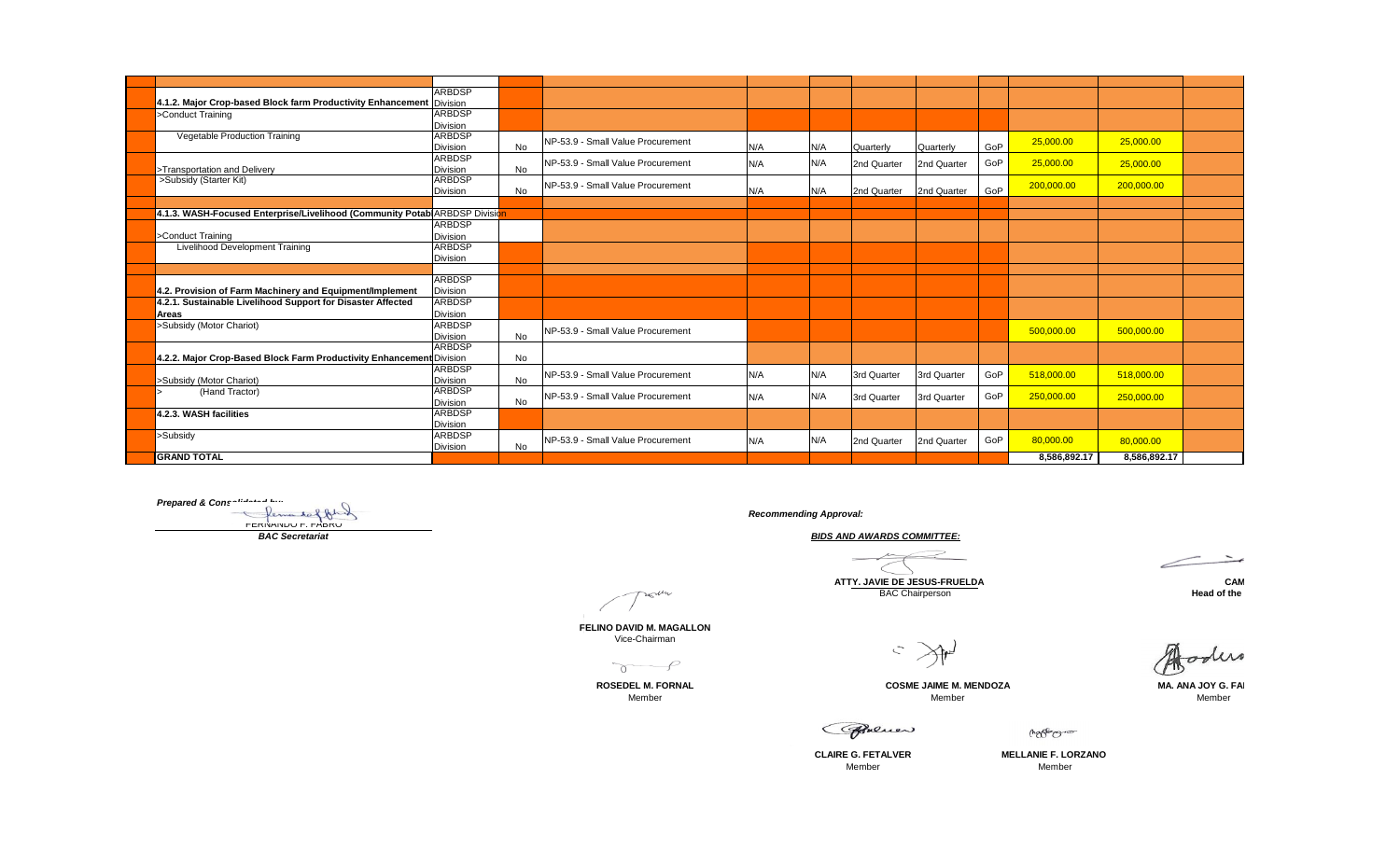|                                                                            | <b>ARBDSP</b>   |    |                                   |     |     |             |             |     |              |              |  |
|----------------------------------------------------------------------------|-----------------|----|-----------------------------------|-----|-----|-------------|-------------|-----|--------------|--------------|--|
| 4.1.2. Major Crop-based Block farm Productivity Enhancement Division       |                 |    |                                   |     |     |             |             |     |              |              |  |
| >Conduct Training                                                          | <b>ARBDSP</b>   |    |                                   |     |     |             |             |     |              |              |  |
|                                                                            | <b>Division</b> |    |                                   |     |     |             |             |     |              |              |  |
| Vegetable Production Training                                              | <b>ARBDSP</b>   |    | NP-53.9 - Small Value Procurement |     |     |             |             |     | 25,000.00    | 25,000.00    |  |
|                                                                            | <b>Division</b> | No |                                   | N/A | N/A | Quarterly   | Quarterly   | GoP |              |              |  |
|                                                                            | <b>ARBDSP</b>   |    | NP-53.9 - Small Value Procurement | N/A | N/A | 2nd Quarter | 2nd Quarter | GoP | 25,000.00    | 25,000.00    |  |
| >Transportation and Deliverv                                               | <b>Division</b> | No |                                   |     |     |             |             |     |              |              |  |
| >Subsidy (Starter Kit)                                                     | <b>ARBDSP</b>   |    | NP-53.9 - Small Value Procurement |     |     |             |             |     | 200,000.00   | 200,000.00   |  |
|                                                                            | <b>Division</b> | No |                                   | N/A | N/A | 2nd Quarter | 2nd Quarter | GoP |              |              |  |
|                                                                            |                 |    |                                   |     |     |             |             |     |              |              |  |
| 4.1.3. WASH-Focused Enterprise/Livelihood (Community Potab ARBDSP Division |                 |    |                                   |     |     |             |             |     |              |              |  |
|                                                                            | ARBDSP          |    |                                   |     |     |             |             |     |              |              |  |
| >Conduct Training                                                          | <b>Division</b> |    |                                   |     |     |             |             |     |              |              |  |
| Livelihood Development Training                                            | <b>ARBDSP</b>   |    |                                   |     |     |             |             |     |              |              |  |
|                                                                            | <b>Division</b> |    |                                   |     |     |             |             |     |              |              |  |
|                                                                            |                 |    |                                   |     |     |             |             |     |              |              |  |
|                                                                            | <b>ARBDSP</b>   |    |                                   |     |     |             |             |     |              |              |  |
| 4.2. Provision of Farm Machinery and Equipment/Implement                   | <b>Division</b> |    |                                   |     |     |             |             |     |              |              |  |
| 4.2.1. Sustainable Livelihood Support for Disaster Affected                | <b>ARBDSP</b>   |    |                                   |     |     |             |             |     |              |              |  |
| <b>Areas</b>                                                               | <b>Division</b> |    |                                   |     |     |             |             |     |              |              |  |
| >Subsidy (Motor Chariot)                                                   | <b>ARBDSP</b>   |    | NP-53.9 - Small Value Procurement |     |     |             |             |     | 500,000.00   | 500,000.00   |  |
|                                                                            | <b>Division</b> | No |                                   |     |     |             |             |     |              |              |  |
|                                                                            | <b>ARBDSP</b>   |    |                                   |     |     |             |             |     |              |              |  |
| 4.2.2. Major Crop-Based Block Farm Productivity Enhancement Division       |                 | No |                                   |     |     |             |             |     |              |              |  |
|                                                                            | <b>ARBDSP</b>   |    | NP-53.9 - Small Value Procurement | N/A | N/A | 3rd Quarter | 3rd Quarter | GoP | 518,000.00   | 518.000.00   |  |
| >Subsidy (Motor Chariot)                                                   | <b>Division</b> | No |                                   |     |     |             |             |     |              |              |  |
| (Hand Tractor)                                                             | <b>ARBDSP</b>   |    | NP-53.9 - Small Value Procurement | N/A | N/A | 3rd Quarter | 3rd Quarter | GoP | 250,000.00   | 250,000.00   |  |
|                                                                            | <b>Division</b> | No |                                   |     |     |             |             |     |              |              |  |
| 4.2.3. WASH facilities                                                     | <b>ARBDSP</b>   |    |                                   |     |     |             |             |     |              |              |  |
|                                                                            | <b>Division</b> |    |                                   |     |     |             |             |     |              |              |  |
| >Subsidy                                                                   | <b>ARBDSP</b>   |    | NP-53.9 - Small Value Procurement | N/A | N/A | 2nd Quarter | 2nd Quarter | GoP | 80,000.00    | 80,000.00    |  |
|                                                                            | <b>Division</b> | No |                                   |     |     |             |             |     |              |              |  |
| <b>GRAND TOTAL</b>                                                         |                 |    |                                   |     |     |             |             |     | 8,586,892.17 | 8,586,892.17 |  |

**Prepared & Consolidated by:** FERNANDO F. FABRO

*Recommending Approval:*

*BAC Secretariat BIDS AND AWARDS COMMITTEE:*

 $\overline{\phantom{a}}$ 

**ATT<u>Y</u>. JAVIE DE JESUS-FRUELDA CAM**<br>BAC Chairperson **BAC COLACTES BAC Chairperson** 

Twoun

**FELINO DAVID M. MAGALLON** Vice-Chairman

 $\overline{0}$ 

 $C \searrow^{\text{th}}$ 

**ROSEDEL M. FORNAL COSME JAIME M. MENDOZA MA. ANA JOY G. FAINERO MENDOZA MA. ANA JOY G. FAINERO MENDOZA** Member Member Member Member

Aloders

Grenow

(horses com

**CLAIRE G. FETALVER** Member

**MELLANIE F. LORZANO** Member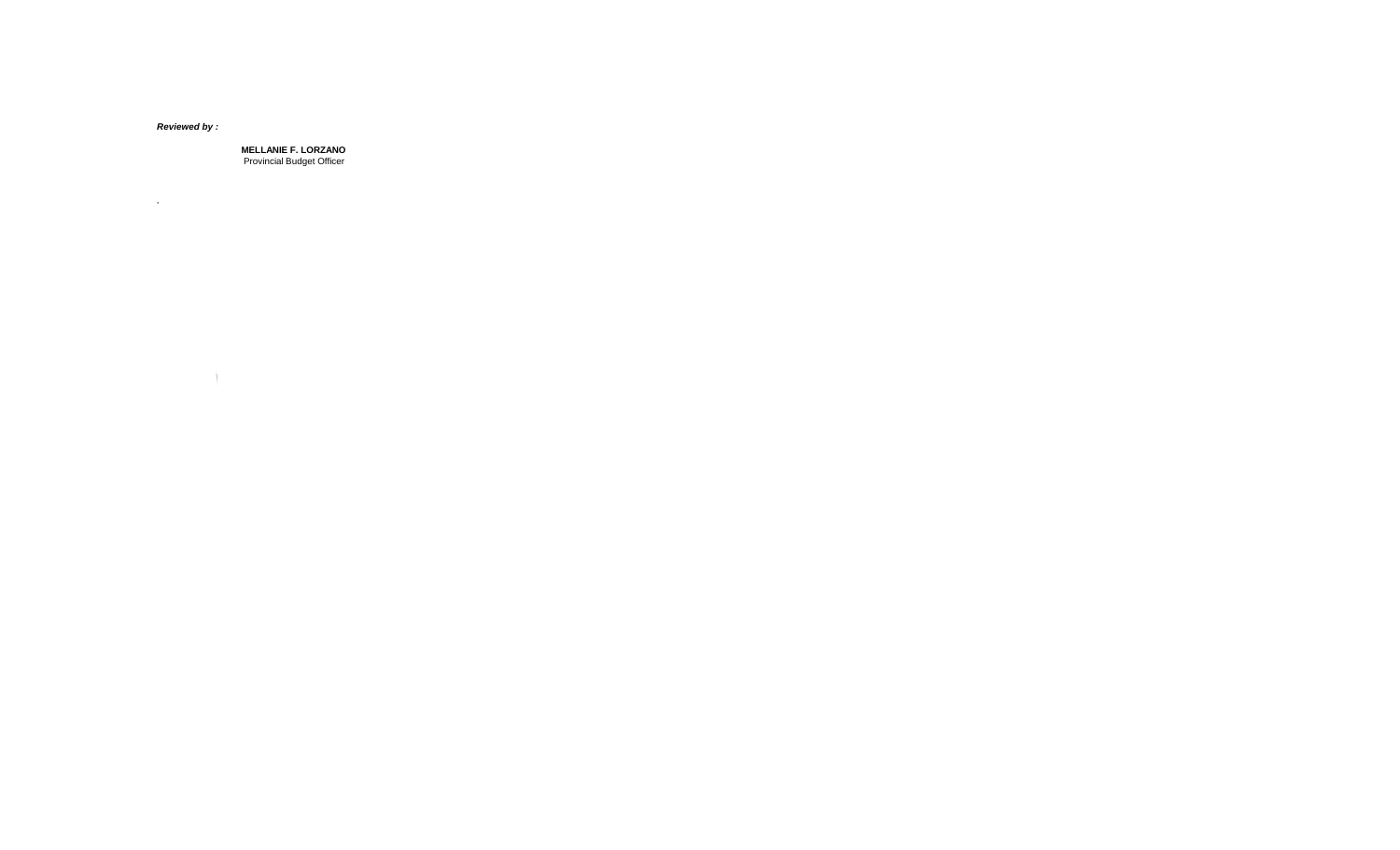*Reviewed by :*

**.**

 $\mathcal{L} = \{1, \ldots, n\}$  .

**MELLANIE F. LORZANO** Provincial Budget Officer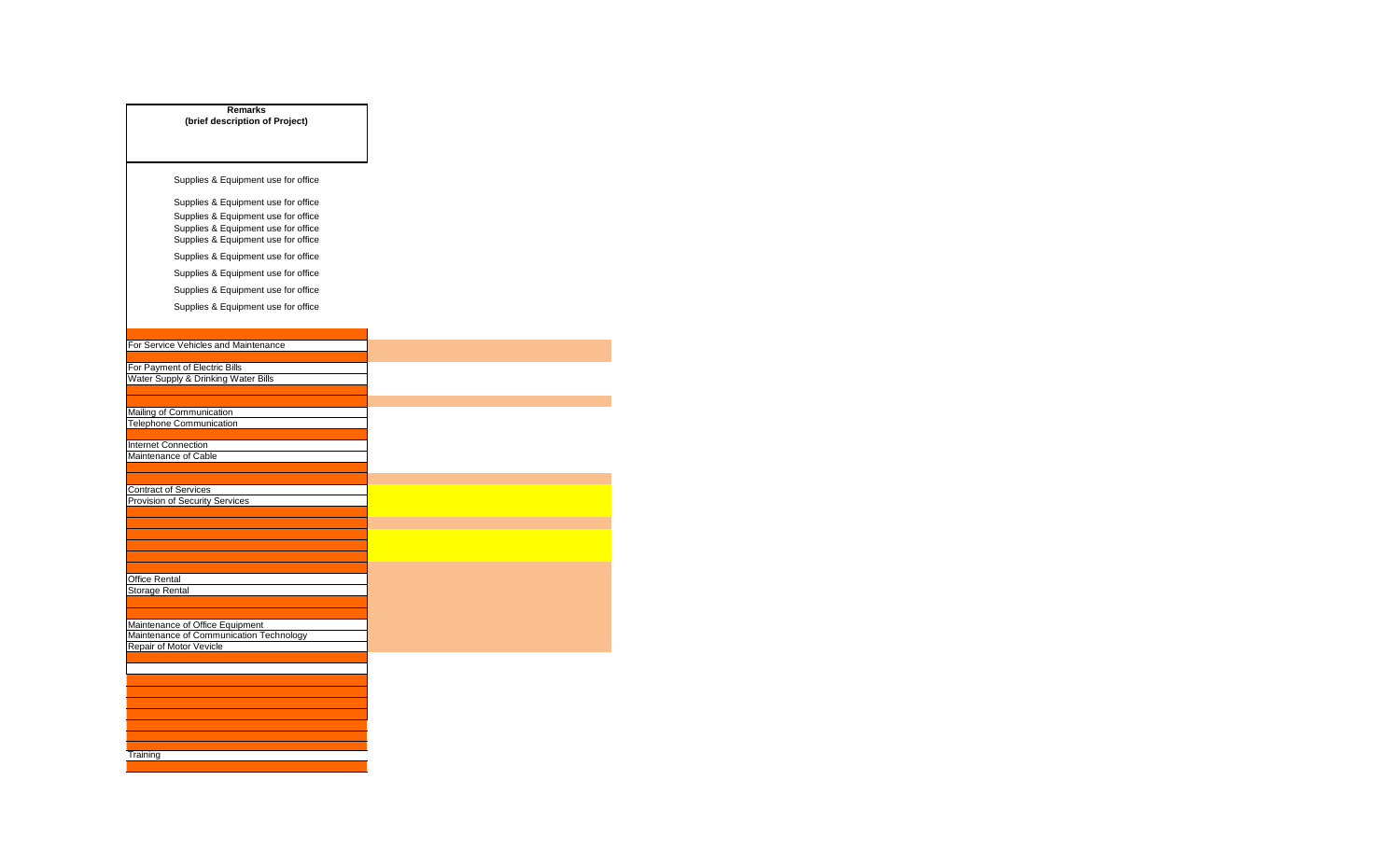| <b>Remarks</b>                                                             |
|----------------------------------------------------------------------------|
| (brief description of Project)                                             |
|                                                                            |
|                                                                            |
| Supplies & Equipment use for office                                        |
|                                                                            |
| Supplies & Equipment use for office                                        |
| Supplies & Equipment use for office<br>Supplies & Equipment use for office |
| Supplies & Equipment use for office                                        |
| Supplies & Equipment use for office                                        |
| Supplies & Equipment use for office                                        |
|                                                                            |
| Supplies & Equipment use for office                                        |
| Supplies & Equipment use for office                                        |
|                                                                            |
| For Service Vehicles and Maintenance                                       |
|                                                                            |
| For Payment of Electric Bills                                              |
| Water Supply & Drinking Water Bills                                        |
|                                                                            |
| Mailing of Communication                                                   |
| Telephone Communication                                                    |
| Internet Connection                                                        |
| Maintenance of Cable                                                       |
|                                                                            |
| <b>Contract of Services</b>                                                |
| Provision of Security Services                                             |
|                                                                            |
|                                                                            |
|                                                                            |
|                                                                            |
| Office Rental                                                              |
| <b>Storage Rental</b>                                                      |
|                                                                            |
|                                                                            |
| Maintenance of Office Equipment<br>Maintenance of Communication Technology |
| Repair of Motor Vevicle                                                    |
|                                                                            |
|                                                                            |
|                                                                            |
|                                                                            |
|                                                                            |
|                                                                            |
|                                                                            |
| Training                                                                   |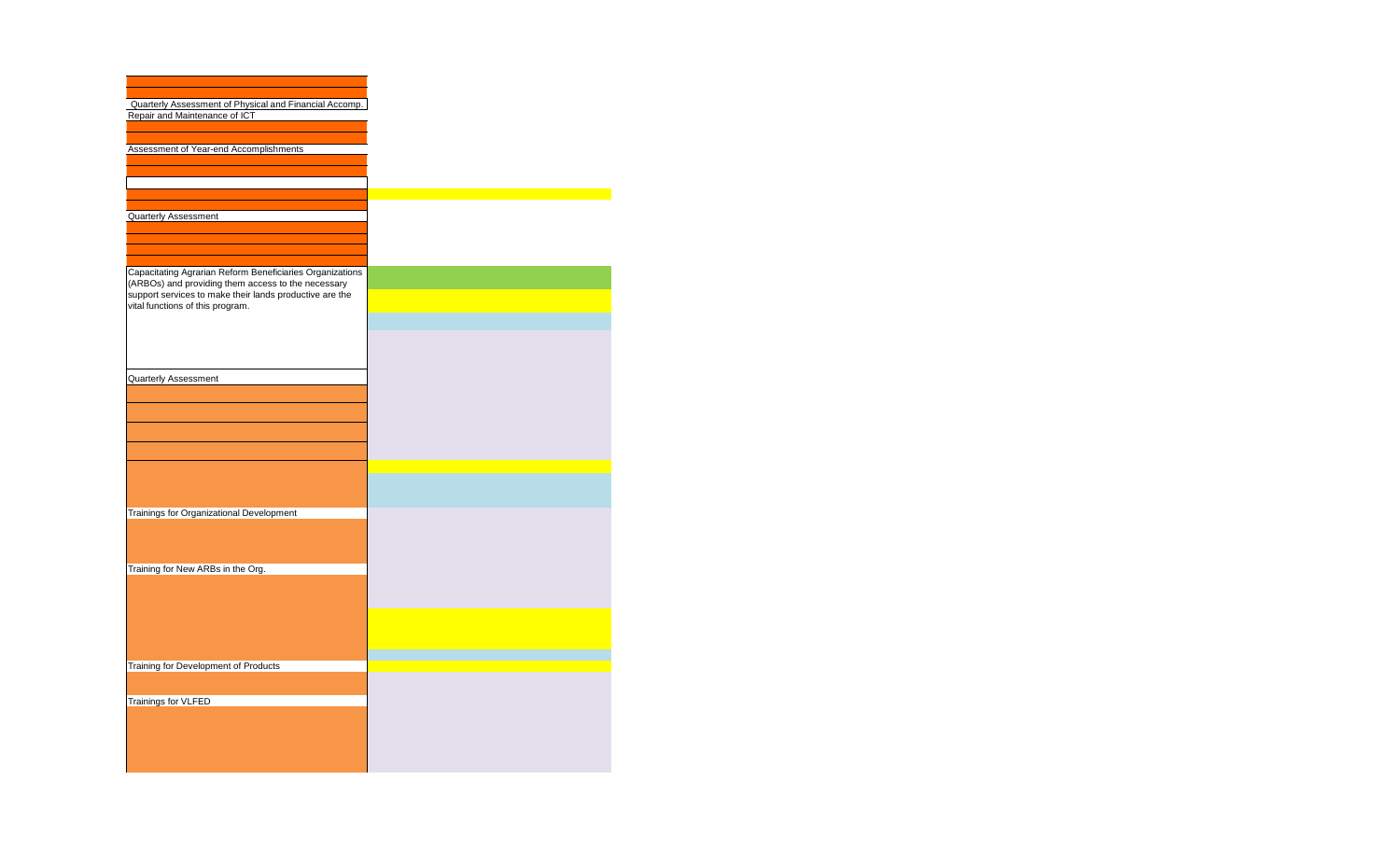| Quarterly Assessment of Physical and Financial Accomp.   |
|----------------------------------------------------------|
| Repair and Maintenance of ICT                            |
|                                                          |
|                                                          |
| Assessment of Year-end Accomplishments                   |
|                                                          |
|                                                          |
|                                                          |
|                                                          |
| <b>Quarterly Assessment</b>                              |
|                                                          |
|                                                          |
|                                                          |
|                                                          |
| Capacitating Agrarian Reform Beneficiaries Organizations |
| (ARBOs) and providing them access to the necessary       |
| support services to make their lands productive are the  |
| vital functions of this program.                         |
|                                                          |
|                                                          |
|                                                          |
|                                                          |
| Quarterly Assessment                                     |
|                                                          |
|                                                          |
|                                                          |
|                                                          |
|                                                          |
|                                                          |
|                                                          |
|                                                          |
|                                                          |
|                                                          |
| Trainings for Organizational Development                 |
|                                                          |
|                                                          |
|                                                          |
|                                                          |
| Training for New ARBs in the Org.                        |
|                                                          |
|                                                          |
|                                                          |
|                                                          |
|                                                          |
|                                                          |
|                                                          |
| Training for Development of Products                     |
|                                                          |
|                                                          |
| <b>Trainings for VLFED</b>                               |
|                                                          |
|                                                          |
|                                                          |
|                                                          |
|                                                          |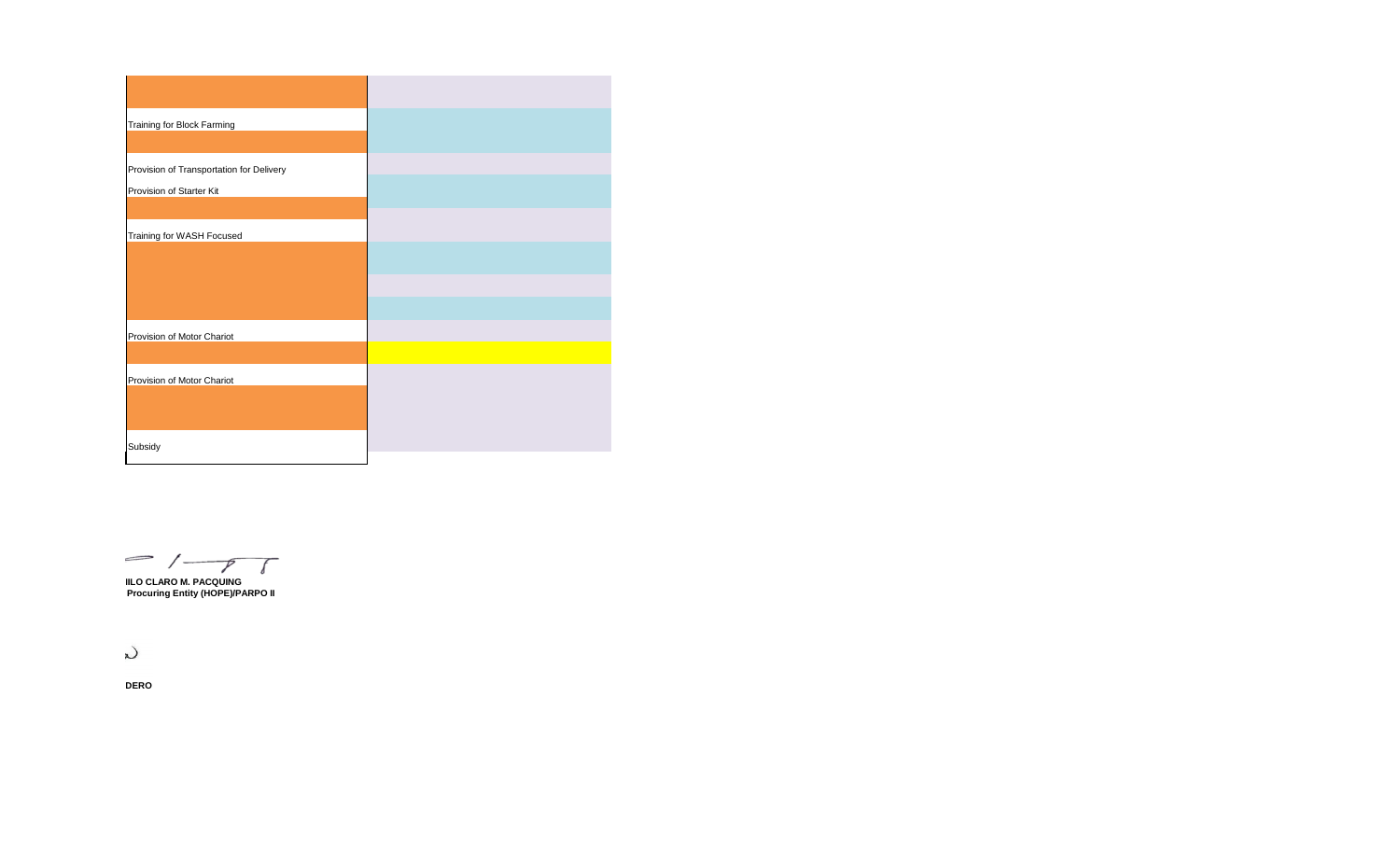| <b>Training for Block Farming</b>        |
|------------------------------------------|
| Provision of Transportation for Delivery |
| Provision of Starter Kit                 |
| Training for WASH Focused                |
|                                          |
|                                          |
| Provision of Motor Chariot               |
|                                          |
| Provision of Motor Chariot               |
|                                          |
| Subsidy                                  |

 $\frac{1}{\sqrt{1-\gamma}}$ 

**IILO CLARO M. PACQUING Procuring Entity (HOPE)/PARPO II** 

 $\mathcal{L}$ 

**DERO**